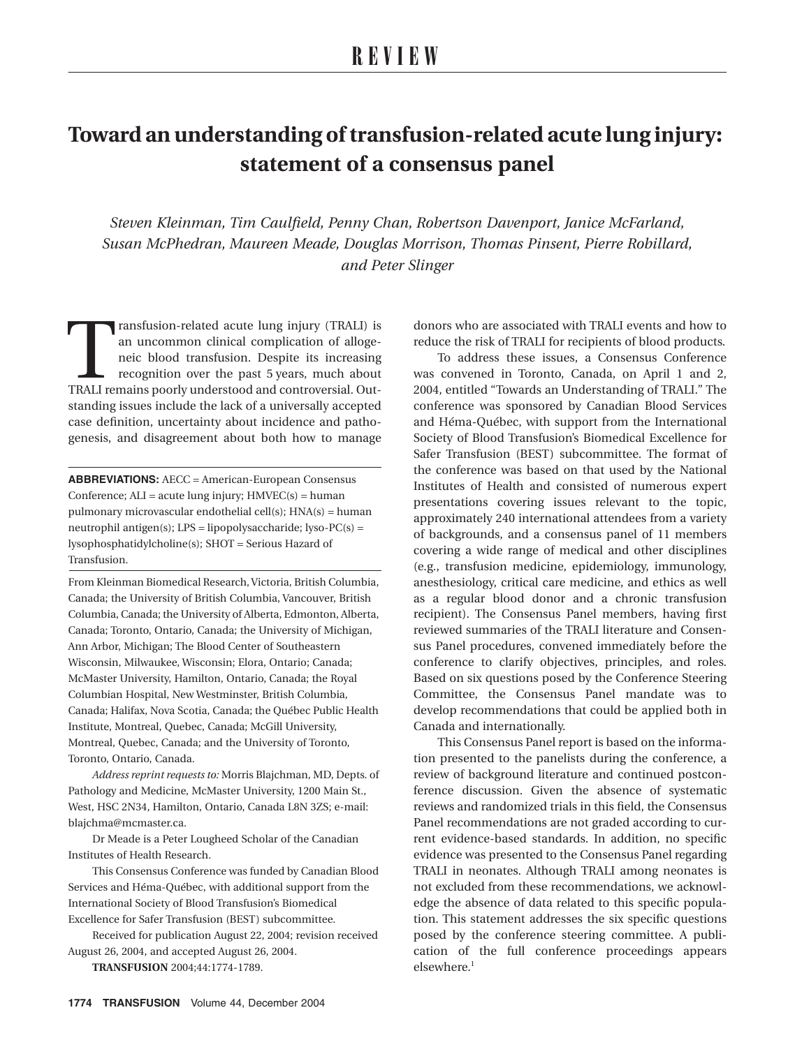# **Toward an understanding of transfusion-related acute lung injury: statement of a consensus panel**

*Steven Kleinman, Tim Caulfield, Penny Chan, Robertson Davenport, Janice McFarland, Susan McPhedran, Maureen Meade, Douglas Morrison, Thomas Pinsent, Pierre Robillard, and Peter Slinger*

ransfusion-related acute lung injury (TRALI) is an uncommon clinical complication of allogeneic blood transfusion. Despite its increasing recognition over the past 5 years, much about TRALI remains poorly understood and controversial. Outstanding issues include the lack of a universally accepted case definition, uncertainty about incidence and pathogenesis, and disagreement about both how to manage Transfusion-related acute lung injury (TRALI) is donors who are associated with TRALI events and how to an uncommon clinical complication of allogereduce the risk of TRALI for recipients of blood products. Track the past 5

**ABBREVIATIONS:** AECC = American-European Consensus Conference;  $ALI = acute$  lung injury;  $HMVEC(s) = human$ pulmonary microvascular endothelial cell(s); HNA(s) = human neutrophil antigen(s); LPS = lipopolysaccharide; lyso-PC(s) = lysophosphatidylcholine(s); SHOT = Serious Hazard of Transfusion.

From Kleinman Biomedical Research, Victoria, British Columbia, Canada; the University of British Columbia, Vancouver, British Columbia, Canada; the University of Alberta, Edmonton, Alberta, Canada; Toronto, Ontario, Canada; the University of Michigan, Ann Arbor, Michigan; The Blood Center of Southeastern Wisconsin, Milwaukee, Wisconsin; Elora, Ontario; Canada; McMaster University, Hamilton, Ontario, Canada; the Royal Columbian Hospital, New Westminster, British Columbia, Canada; Halifax, Nova Scotia, Canada; the Québec Public Health Institute, Montreal, Quebec, Canada; McGill University, Montreal, Quebec, Canada; and the University of Toronto, Toronto, Ontario, Canada.

*Address reprint requests to:* Morris Blajchman, MD, Depts. of Pathology and Medicine, McMaster University, 1200 Main St., West, HSC 2N34, Hamilton, Ontario, Canada L8N 3ZS; e-mail: blajchma@mcmaster.ca.

Dr Meade is a Peter Lougheed Scholar of the Canadian Institutes of Health Research.

This Consensus Conference was funded by Canadian Blood Services and Héma-Québec, with additional support from the International Society of Blood Transfusion's Biomedical Excellence for Safer Transfusion (BEST) subcommittee.

Received for publication August 22, 2004; revision received August 26, 2004, and accepted August 26, 2004.

**TRANSFUSION** 2004;44:1774-1789.

reduce the risk of TRALI for recipients of blood products.

To address these issues, a Consensus Conference was convened in Toronto, Canada, on April 1 and 2, 2004, entitled "Towards an Understanding of TRALI." The conference was sponsored by Canadian Blood Services and Héma-Québec, with support from the International Society of Blood Transfusion's Biomedical Excellence for Safer Transfusion (BEST) subcommittee. The format of the conference was based on that used by the National Institutes of Health and consisted of numerous expert presentations covering issues relevant to the topic, approximately 240 international attendees from a variety of backgrounds, and a consensus panel of 11 members covering a wide range of medical and other disciplines (e.g., transfusion medicine, epidemiology, immunology, anesthesiology, critical care medicine, and ethics as well as a regular blood donor and a chronic transfusion recipient). The Consensus Panel members, having first reviewed summaries of the TRALI literature and Consensus Panel procedures, convened immediately before the conference to clarify objectives, principles, and roles. Based on six questions posed by the Conference Steering Committee, the Consensus Panel mandate was to develop recommendations that could be applied both in Canada and internationally.

This Consensus Panel report is based on the information presented to the panelists during the conference, a review of background literature and continued postconference discussion. Given the absence of systematic reviews and randomized trials in this field, the Consensus Panel recommendations are not graded according to current evidence-based standards. In addition, no specific evidence was presented to the Consensus Panel regarding TRALI in neonates. Although TRALI among neonates is not excluded from these recommendations, we acknowledge the absence of data related to this specific population. This statement addresses the six specific questions posed by the conference steering committee. A publication of the full conference proceedings appears elsewhere.<sup>1</sup>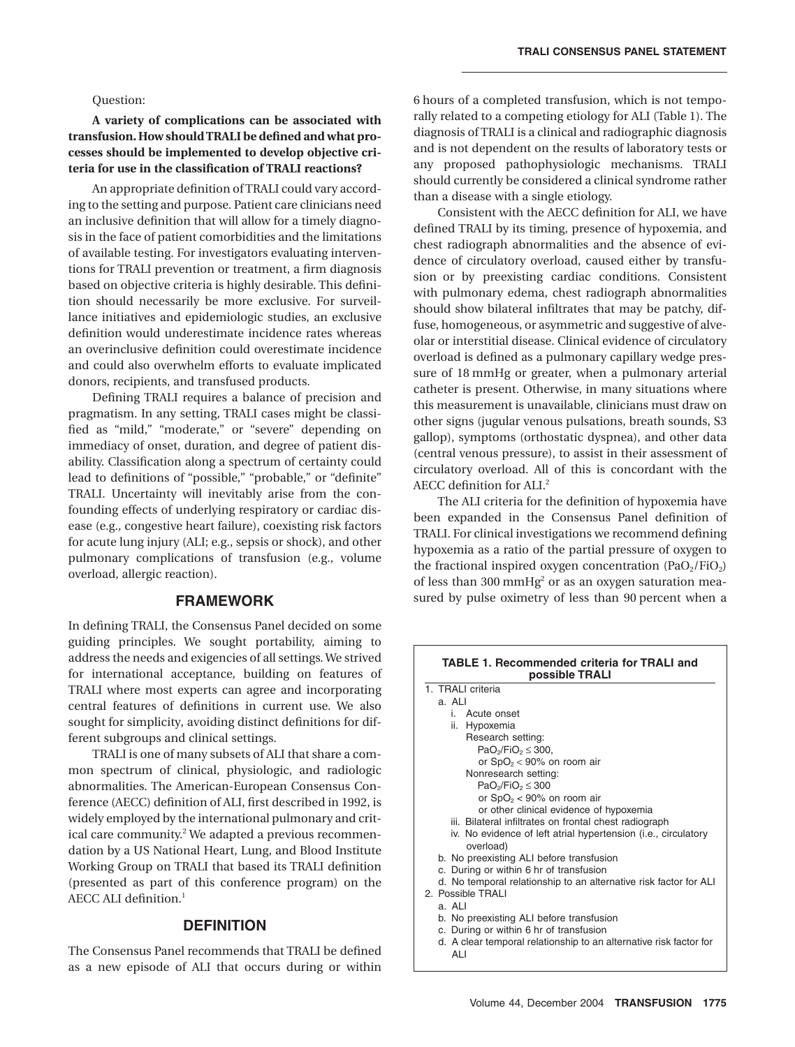#### Question:

**A variety of complications can be associated with transfusion. How should TRALI be defined and what processes should be implemented to develop objective criteria for use in the classification of TRALI reactions?**

An appropriate definition of TRALI could vary according to the setting and purpose. Patient care clinicians need an inclusive definition that will allow for a timely diagnosis in the face of patient comorbidities and the limitations of available testing. For investigators evaluating interventions for TRALI prevention or treatment, a firm diagnosis based on objective criteria is highly desirable. This definition should necessarily be more exclusive. For surveillance initiatives and epidemiologic studies, an exclusive definition would underestimate incidence rates whereas an overinclusive definition could overestimate incidence and could also overwhelm efforts to evaluate implicated donors, recipients, and transfused products.

Defining TRALI requires a balance of precision and pragmatism. In any setting, TRALI cases might be classified as "mild," "moderate," or "severe" depending on immediacy of onset, duration, and degree of patient disability. Classification along a spectrum of certainty could lead to definitions of "possible," "probable," or "definite" TRALI. Uncertainty will inevitably arise from the confounding effects of underlying respiratory or cardiac disease (e.g., congestive heart failure), coexisting risk factors for acute lung injury (ALI; e.g., sepsis or shock), and other pulmonary complications of transfusion (e.g., volume overload, allergic reaction).

## **FRAMEWORK**

In defining TRALI, the Consensus Panel decided on some guiding principles. We sought portability, aiming to address the needs and exigencies of all settings. We strived for international acceptance*,* building on features of TRALI where most experts can agree and incorporating central features of definitions in current use. We also sought for simplicity*,* avoiding distinct definitions for different subgroups and clinical settings.

TRALI is one of many subsets of ALI that share a common spectrum of clinical, physiologic, and radiologic abnormalities. The American-European Consensus Conference (AECC) definition of ALI, first described in 1992, is widely employed by the international pulmonary and critical care community.<sup>2</sup> We adapted a previous recommendation by a US National Heart, Lung, and Blood Institute Working Group on TRALI that based its TRALI definition (presented as part of this conference program) on the AECC ALI definition.<sup>1</sup>

# **DEFINITION**

The Consensus Panel recommends that TRALI be defined as a new episode of ALI that occurs during or within

6 hours of a completed transfusion, which is not temporally related to a competing etiology for ALI (Table 1). The diagnosis of TRALI is a clinical and radiographic diagnosis and is not dependent on the results of laboratory tests or any proposed pathophysiologic mechanisms. TRALI should currently be considered a clinical syndrome rather than a disease with a single etiology.

Consistent with the AECC definition for ALI, we have defined TRALI by its timing, presence of hypoxemia, and chest radiograph abnormalities and the absence of evidence of circulatory overload, caused either by transfusion or by preexisting cardiac conditions. Consistent with pulmonary edema, chest radiograph abnormalities should show bilateral infiltrates that may be patchy, diffuse, homogeneous, or asymmetric and suggestive of alveolar or interstitial disease. Clinical evidence of circulatory overload is defined as a pulmonary capillary wedge pressure of 18 mmHg or greater, when a pulmonary arterial catheter is present. Otherwise, in many situations where this measurement is unavailable, clinicians must draw on other signs (jugular venous pulsations, breath sounds, S3 gallop), symptoms (orthostatic dyspnea), and other data (central venous pressure), to assist in their assessment of circulatory overload. All of this is concordant with the AECC definition for ALI.2

The ALI criteria for the definition of hypoxemia have been expanded in the Consensus Panel definition of TRALI. For clinical investigations we recommend defining hypoxemia as a ratio of the partial pressure of oxygen to the fractional inspired oxygen concentration  $(PaO<sub>2</sub>/FiO<sub>2</sub>)$ of less than 300 mmHg<sup>2</sup> or as an oxygen saturation measured by pulse oximetry of less than 90 percent when a

| <b>TABLE 1. Recommended criteria for TRALI and</b><br>possible TRALI        |
|-----------------------------------------------------------------------------|
| 1. TRALI criteria                                                           |
| a. All                                                                      |
| i. Acute onset                                                              |
| Hypoxemia<br>ii.                                                            |
| Research setting:                                                           |
| $PaO_2/FiO_2 \leq 300$ ,                                                    |
| or $SpO2 < 90%$ on room air                                                 |
| Nonresearch setting:                                                        |
| $PaO2/FiO2 \le 300$                                                         |
| or $SpO2 < 90%$ on room air                                                 |
| or other clinical evidence of hypoxemia                                     |
| iii. Bilateral infiltrates on frontal chest radiograph                      |
| iv. No evidence of left atrial hypertension (i.e., circulatory<br>overload) |
| b. No preexisting ALI before transfusion                                    |
| c. During or within 6 hr of transfusion                                     |
| d. No temporal relationship to an alternative risk factor for ALI           |
| 2. Possible TRALI                                                           |
| a. All                                                                      |
| b. No preexisting ALI before transfusion                                    |
| c. During or within 6 hr of transfusion                                     |
| d. A clear temporal relationship to an alternative risk factor for<br>ALI   |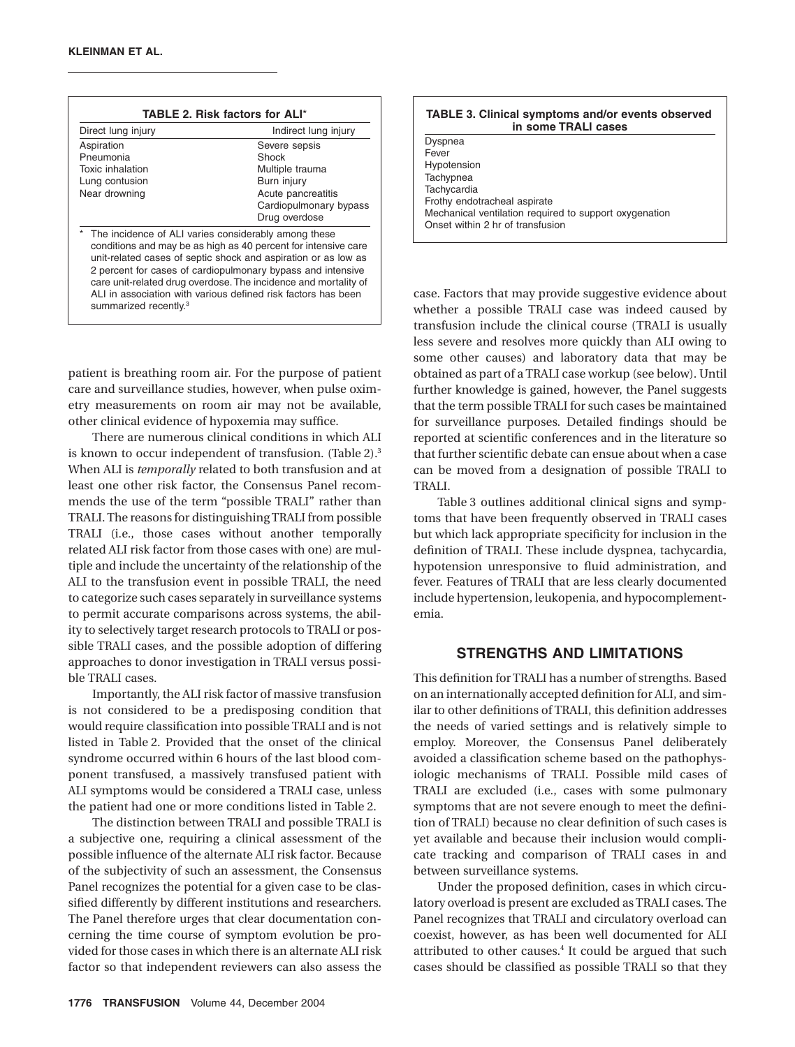| Direct lung injury                                                                        | Indirect lung injury                                                                                                                                                                                                                                                                                                                |
|-------------------------------------------------------------------------------------------|-------------------------------------------------------------------------------------------------------------------------------------------------------------------------------------------------------------------------------------------------------------------------------------------------------------------------------------|
| Aspiration                                                                                | Severe sepsis                                                                                                                                                                                                                                                                                                                       |
| Pneumonia                                                                                 | Shock                                                                                                                                                                                                                                                                                                                               |
| Toxic inhalation                                                                          | Multiple trauma                                                                                                                                                                                                                                                                                                                     |
| Lung contusion                                                                            | Burn injury                                                                                                                                                                                                                                                                                                                         |
| Near drowning                                                                             | Acute pancreatitis                                                                                                                                                                                                                                                                                                                  |
|                                                                                           | Cardiopulmonary bypass                                                                                                                                                                                                                                                                                                              |
|                                                                                           | Drug overdose                                                                                                                                                                                                                                                                                                                       |
| The incidence of ALI varies considerably among these<br>summarized recently. <sup>3</sup> | conditions and may be as high as 40 percent for intensive care<br>unit-related cases of septic shock and aspiration or as low as<br>2 percent for cases of cardiopulmonary bypass and intensive<br>care unit-related drug overdose. The incidence and mortality of<br>ALI in association with various defined risk factors has been |

patient is breathing room air. For the purpose of patient care and surveillance studies, however, when pulse oximetry measurements on room air may not be available, other clinical evidence of hypoxemia may suffice.

There are numerous clinical conditions in which ALI is known to occur independent of transfusion. (Table 2).<sup>3</sup> When ALI is *temporally* related to both transfusion and at least one other risk factor, the Consensus Panel recommends the use of the term "possible TRALI" rather than TRALI. The reasons for distinguishing TRALI from possible TRALI (i.e., those cases without another temporally related ALI risk factor from those cases with one) are multiple and include the uncertainty of the relationship of the ALI to the transfusion event in possible TRALI, the need to categorize such cases separately in surveillance systems to permit accurate comparisons across systems, the ability to selectively target research protocols to TRALI or possible TRALI cases, and the possible adoption of differing approaches to donor investigation in TRALI versus possible TRALI cases.

Importantly, the ALI risk factor of massive transfusion is not considered to be a predisposing condition that would require classification into possible TRALI and is not listed in Table 2. Provided that the onset of the clinical syndrome occurred within 6 hours of the last blood component transfused, a massively transfused patient with ALI symptoms would be considered a TRALI case, unless the patient had one or more conditions listed in Table 2.

The distinction between TRALI and possible TRALI is a subjective one, requiring a clinical assessment of the possible influence of the alternate ALI risk factor. Because of the subjectivity of such an assessment, the Consensus Panel recognizes the potential for a given case to be classified differently by different institutions and researchers. The Panel therefore urges that clear documentation concerning the time course of symptom evolution be provided for those cases in which there is an alternate ALI risk factor so that independent reviewers can also assess the

| TABLE 3. Clinical symptoms and/or events observed |
|---------------------------------------------------|
| in some TRALI cases                               |

Dyspnea Fever Hypotension **Tachypnea Tachycardia** Frothy endotracheal aspirate Mechanical ventilation required to support oxygenation Onset within 2 hr of transfusion

case. Factors that may provide suggestive evidence about whether a possible TRALI case was indeed caused by transfusion include the clinical course (TRALI is usually less severe and resolves more quickly than ALI owing to some other causes) and laboratory data that may be obtained as part of a TRALI case workup (see below). Until further knowledge is gained, however, the Panel suggests that the term possible TRALI for such cases be maintained for surveillance purposes. Detailed findings should be reported at scientific conferences and in the literature so that further scientific debate can ensue about when a case can be moved from a designation of possible TRALI to TRALI.

Table 3 outlines additional clinical signs and symptoms that have been frequently observed in TRALI cases but which lack appropriate specificity for inclusion in the definition of TRALI. These include dyspnea, tachycardia, hypotension unresponsive to fluid administration, and fever. Features of TRALI that are less clearly documented include hypertension, leukopenia, and hypocomplementemia.

# **STRENGTHS AND LIMITATIONS**

This definition for TRALI has a number of strengths. Based on an internationally accepted definition for ALI, and similar to other definitions of TRALI, this definition addresses the needs of varied settings and is relatively simple to employ. Moreover, the Consensus Panel deliberately avoided a classification scheme based on the pathophysiologic mechanisms of TRALI. Possible mild cases of TRALI are excluded (i.e., cases with some pulmonary symptoms that are not severe enough to meet the definition of TRALI) because no clear definition of such cases is yet available and because their inclusion would complicate tracking and comparison of TRALI cases in and between surveillance systems.

Under the proposed definition, cases in which circulatory overload is present are excluded as TRALI cases. The Panel recognizes that TRALI and circulatory overload can coexist, however, as has been well documented for ALI attributed to other causes.<sup>4</sup> It could be argued that such cases should be classified as possible TRALI so that they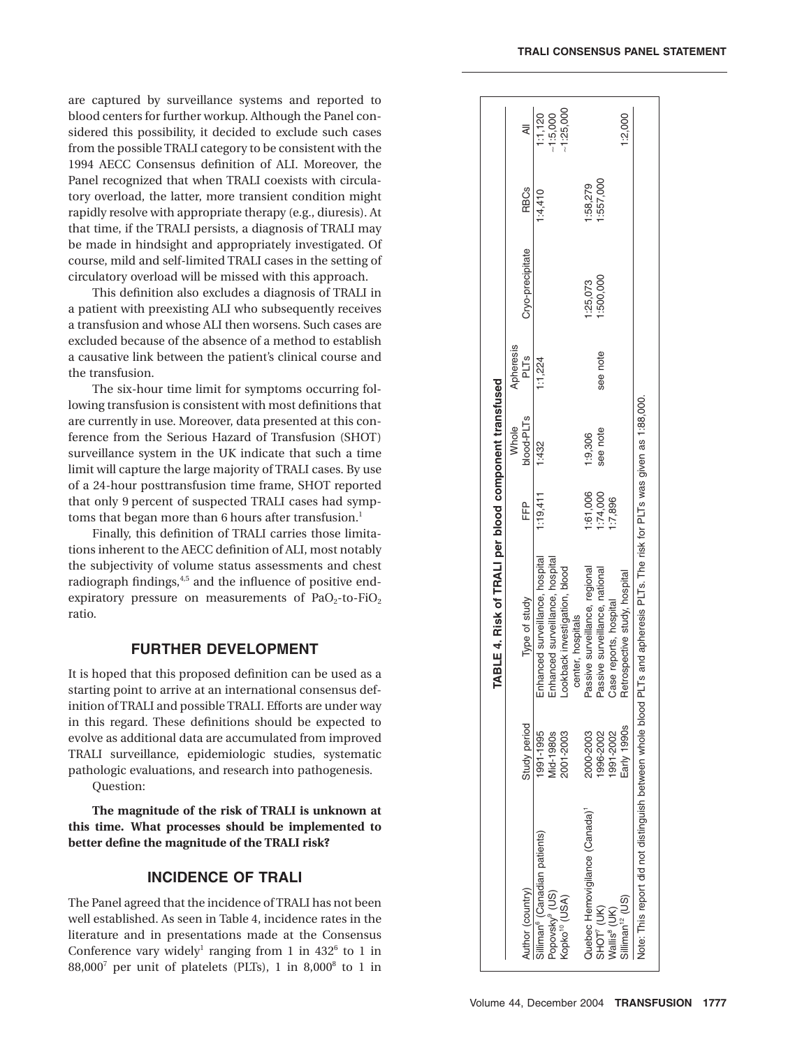are captured by surveillance systems and reported to blood centers for further workup. Although the Panel considered this possibility, it decided to exclude such cases from the possible TRALI category to be consistent with the 1994 AECC Consensus definition of ALI. Moreover, the Panel recognized that when TRALI coexists with circulatory overload, the latter, more transient condition might rapidly resolve with appropriate therapy (e.g., diuresis). At that time, if the TRALI persists, a diagnosis of TRALI may be made in hindsight and appropriately investigated. Of course, mild and self-limited TRALI cases in the setting of circulatory overload will be missed with this approach.

This definition also excludes a diagnosis of TRALI in a patient with preexisting ALI who subsequently receives a transfusion and whose ALI then worsens. Such cases are excluded because of the absence of a method to establish a causative link between the patient's clinical course and the transfusion.

The six-hour time limit for symptoms occurring following transfusion is consistent with most definitions that are currently in use. Moreover, data presented at this conference from the Serious Hazard of Transfusion (SHOT) surveillance system in the UK indicate that such a time limit will capture the large majority of TRALI cases. By use of a 24-hour posttransfusion time frame, SHOT reported that only 9 percent of suspected TRALI cases had symptoms that began more than 6 hours after transfusion.<sup>1</sup>

Finally, this definition of TRALI carries those limitations inherent to the AECC definition of ALI, most notably the subjectivity of volume status assessments and chest radiograph findings, $4,5$  and the influence of positive endexpiratory pressure on measurements of  $PaO<sub>2</sub>$ -to-FiO<sub>2</sub> ratio.

# **FURTHER DEVELOPMENT**

It is hoped that this proposed definition can be used as a starting point to arrive at an international consensus definition of TRALI and possible TRALI. Efforts are under way in this regard. These definitions should be expected to evolve as additional data are accumulated from improved TRALI surveillance, epidemiologic studies, systematic pathologic evaluations, and research into pathogenesis.

Question:

**The magnitude of the risk of TRALI is unknown at this time. What processes should be implemented to better define the magnitude of the TRALI risk?**

# **INCIDENCE OF TRALI**

The Panel agreed that the incidence of TRALI has not been well established. As seen in Table 4, incidence rates in the literature and in presentations made at the Consensus Conference vary widely<sup>1</sup> ranging from 1 in  $432^6$  to 1 in  $88,000^7$  per unit of platelets (PLTs), 1 in  $8,000^8$  to 1 in

|                                            |              |                                                       |          | Whole      | Apheresis        |                  |             |             |
|--------------------------------------------|--------------|-------------------------------------------------------|----------|------------|------------------|------------------|-------------|-------------|
| Author (country)                           | Study period | Type of study                                         | î⊢<br>F  | blood-PLTs | PLT <sub>S</sub> | Cryo-precipitate | <b>RBCs</b> |             |
| Silliman <sup>6</sup> (Canadian patients)  | 1991-1995    | nanced surveillance, hospital<br>오                    | 1:19,411 | 1:432      | 1:1.224          |                  | 1:4,410     | 1:1,120     |
| Popovsky <sup>9</sup> (US)                 | Mid-1980s    | nanced surveillance, hospital<br>띻                    |          |            |                  |                  |             | $-1:5,000$  |
| Kopko <sup>10</sup> (USA)                  | 2001-2003    | okback investigation, blood<br>center, hospitals<br>ă |          |            |                  |                  |             | $-1:25,000$ |
| Quebec Hemovigilance (Canada) <sup>1</sup> | 2000-2003    | Passive surveillance, regional                        | 1:61,006 | 1:9,306    |                  | 1:25,073         | 1:58,279    |             |
| SHOT <sup>7</sup> (UK)                     | 1996-2002    | Passive surveillance, national                        | 1:74,000 | see note   | see note         | 1:500,000        | 1:557,000   |             |
| Wallis <sup>8</sup> (UK)                   | 1991-2002    | Case reports, hospital                                | 1:7,896  |            |                  |                  |             |             |
| Silliman <sup>12</sup> (US)                | Early 1990s  | Retrospective study, hospital                         |          |            |                  |                  |             | 1:2,000     |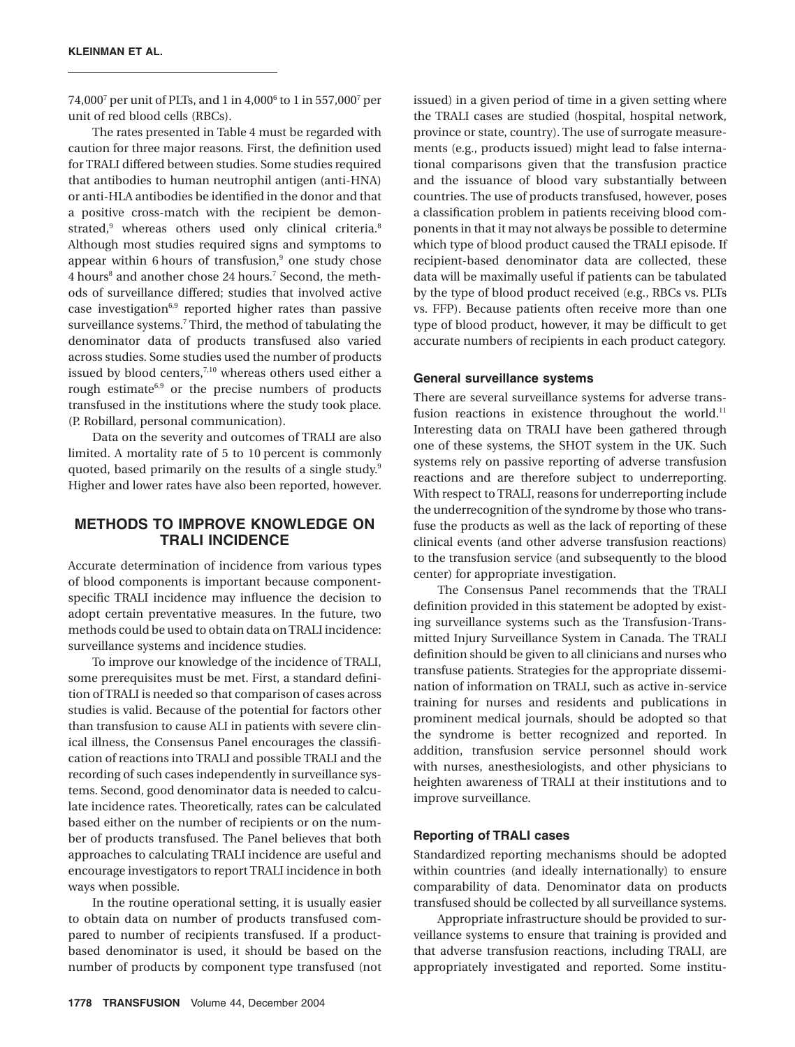74,000<sup>7</sup> per unit of PLTs, and 1 in 4,000<sup>6</sup> to 1 in 557,000<sup>7</sup> per unit of red blood cells (RBCs).

The rates presented in Table 4 must be regarded with caution for three major reasons. First, the definition used for TRALI differed between studies. Some studies required that antibodies to human neutrophil antigen (anti-HNA) or anti-HLA antibodies be identified in the donor and that a positive cross-match with the recipient be demonstrated,<sup>9</sup> whereas others used only clinical criteria.<sup>8</sup> Although most studies required signs and symptoms to appear within 6 hours of transfusion, $9$  one study chose 4 hours<sup>8</sup> and another chose 24 hours.<sup>7</sup> Second, the methods of surveillance differed; studies that involved active case investigation $6.9$  reported higher rates than passive surveillance systems.<sup>7</sup> Third, the method of tabulating the denominator data of products transfused also varied across studies. Some studies used the number of products issued by blood centers, $7,10$  whereas others used either a rough estimate $6,9$  or the precise numbers of products transfused in the institutions where the study took place. (P. Robillard, personal communication).

Data on the severity and outcomes of TRALI are also limited. A mortality rate of 5 to 10 percent is commonly quoted, based primarily on the results of a single study.<sup>9</sup> Higher and lower rates have also been reported, however.

# **METHODS TO IMPROVE KNOWLEDGE ON TRALI INCIDENCE**

Accurate determination of incidence from various types of blood components is important because componentspecific TRALI incidence may influence the decision to adopt certain preventative measures. In the future, two methods could be used to obtain data on TRALI incidence: surveillance systems and incidence studies.

To improve our knowledge of the incidence of TRALI, some prerequisites must be met. First, a standard definition of TRALI is needed so that comparison of cases across studies is valid. Because of the potential for factors other than transfusion to cause ALI in patients with severe clinical illness, the Consensus Panel encourages the classification of reactions into TRALI and possible TRALI and the recording of such cases independently in surveillance systems. Second, good denominator data is needed to calculate incidence rates. Theoretically, rates can be calculated based either on the number of recipients or on the number of products transfused. The Panel believes that both approaches to calculating TRALI incidence are useful and encourage investigators to report TRALI incidence in both ways when possible.

In the routine operational setting, it is usually easier to obtain data on number of products transfused compared to number of recipients transfused. If a productbased denominator is used, it should be based on the number of products by component type transfused (not

issued) in a given period of time in a given setting where the TRALI cases are studied (hospital, hospital network, province or state, country). The use of surrogate measurements (e.g., products issued) might lead to false international comparisons given that the transfusion practice and the issuance of blood vary substantially between countries. The use of products transfused, however, poses a classification problem in patients receiving blood components in that it may not always be possible to determine which type of blood product caused the TRALI episode. If recipient-based denominator data are collected, these data will be maximally useful if patients can be tabulated by the type of blood product received (e.g., RBCs vs. PLTs vs. FFP). Because patients often receive more than one type of blood product, however, it may be difficult to get accurate numbers of recipients in each product category.

## **General surveillance systems**

There are several surveillance systems for adverse transfusion reactions in existence throughout the world.<sup>11</sup> Interesting data on TRALI have been gathered through one of these systems, the SHOT system in the UK. Such systems rely on passive reporting of adverse transfusion reactions and are therefore subject to underreporting. With respect to TRALI, reasons for underreporting include the underrecognition of the syndrome by those who transfuse the products as well as the lack of reporting of these clinical events (and other adverse transfusion reactions) to the transfusion service (and subsequently to the blood center) for appropriate investigation.

The Consensus Panel recommends that the TRALI definition provided in this statement be adopted by existing surveillance systems such as the Transfusion-Transmitted Injury Surveillance System in Canada. The TRALI definition should be given to all clinicians and nurses who transfuse patients. Strategies for the appropriate dissemination of information on TRALI, such as active in-service training for nurses and residents and publications in prominent medical journals, should be adopted so that the syndrome is better recognized and reported. In addition, transfusion service personnel should work with nurses, anesthesiologists, and other physicians to heighten awareness of TRALI at their institutions and to improve surveillance.

### **Reporting of TRALI cases**

Standardized reporting mechanisms should be adopted within countries (and ideally internationally) to ensure comparability of data. Denominator data on products transfused should be collected by all surveillance systems.

Appropriate infrastructure should be provided to surveillance systems to ensure that training is provided and that adverse transfusion reactions, including TRALI, are appropriately investigated and reported. Some institu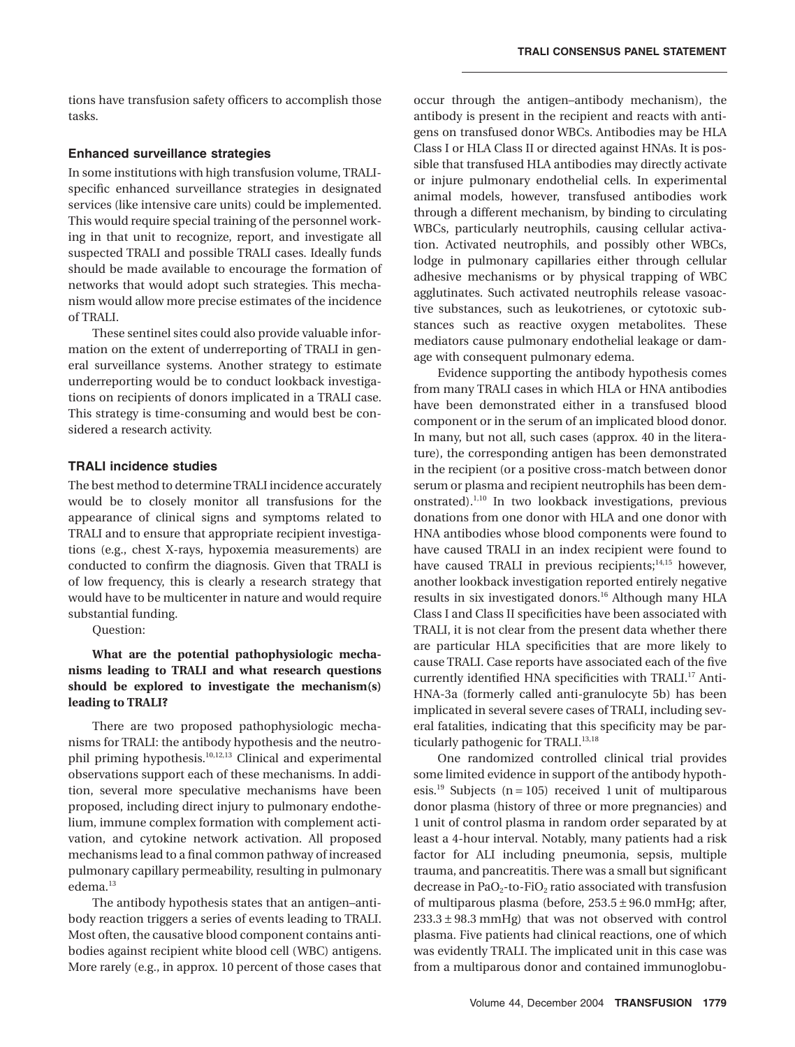tions have transfusion safety officers to accomplish those tasks.

### **Enhanced surveillance strategies**

In some institutions with high transfusion volume, TRALIspecific enhanced surveillance strategies in designated services (like intensive care units) could be implemented. This would require special training of the personnel working in that unit to recognize, report, and investigate all suspected TRALI and possible TRALI cases. Ideally funds should be made available to encourage the formation of networks that would adopt such strategies. This mechanism would allow more precise estimates of the incidence of TRALI.

These sentinel sites could also provide valuable information on the extent of underreporting of TRALI in general surveillance systems. Another strategy to estimate underreporting would be to conduct lookback investigations on recipients of donors implicated in a TRALI case. This strategy is time-consuming and would best be considered a research activity.

#### **TRALI incidence studies**

The best method to determine TRALI incidence accurately would be to closely monitor all transfusions for the appearance of clinical signs and symptoms related to TRALI and to ensure that appropriate recipient investigations (e.g., chest X-rays, hypoxemia measurements) are conducted to confirm the diagnosis. Given that TRALI is of low frequency, this is clearly a research strategy that would have to be multicenter in nature and would require substantial funding.

Question:

# **What are the potential pathophysiologic mechanisms leading to TRALI and what research questions should be explored to investigate the mechanism(s) leading to TRALI?**

There are two proposed pathophysiologic mechanisms for TRALI: the antibody hypothesis and the neutrophil priming hypothesis.<sup>10,12,13</sup> Clinical and experimental observations support each of these mechanisms. In addition, several more speculative mechanisms have been proposed, including direct injury to pulmonary endothelium, immune complex formation with complement activation, and cytokine network activation. All proposed mechanisms lead to a final common pathway of increased pulmonary capillary permeability, resulting in pulmonary edema.<sup>13</sup>

The antibody hypothesis states that an antigen–antibody reaction triggers a series of events leading to TRALI. Most often, the causative blood component contains antibodies against recipient white blood cell (WBC) antigens. More rarely (e.g., in approx. 10 percent of those cases that occur through the antigen–antibody mechanism), the antibody is present in the recipient and reacts with antigens on transfused donor WBCs. Antibodies may be HLA Class I or HLA Class II or directed against HNAs. It is possible that transfused HLA antibodies may directly activate or injure pulmonary endothelial cells. In experimental animal models, however, transfused antibodies work through a different mechanism, by binding to circulating WBCs, particularly neutrophils, causing cellular activation. Activated neutrophils, and possibly other WBCs, lodge in pulmonary capillaries either through cellular adhesive mechanisms or by physical trapping of WBC agglutinates. Such activated neutrophils release vasoactive substances, such as leukotrienes, or cytotoxic substances such as reactive oxygen metabolites. These mediators cause pulmonary endothelial leakage or damage with consequent pulmonary edema.

Evidence supporting the antibody hypothesis comes from many TRALI cases in which HLA or HNA antibodies have been demonstrated either in a transfused blood component or in the serum of an implicated blood donor. In many, but not all, such cases (approx. 40 in the literature), the corresponding antigen has been demonstrated in the recipient (or a positive cross-match between donor serum or plasma and recipient neutrophils has been demonstrated). $1,10$  In two lookback investigations, previous donations from one donor with HLA and one donor with HNA antibodies whose blood components were found to have caused TRALI in an index recipient were found to have caused TRALI in previous recipients; $14,15$  however, another lookback investigation reported entirely negative results in six investigated donors.<sup>16</sup> Although many HLA Class I and Class II specificities have been associated with TRALI, it is not clear from the present data whether there are particular HLA specificities that are more likely to cause TRALI. Case reports have associated each of the five currently identified HNA specificities with TRALI.<sup>17</sup> Anti-HNA-3a (formerly called anti-granulocyte 5b) has been implicated in several severe cases of TRALI, including several fatalities, indicating that this specificity may be particularly pathogenic for TRALI.<sup>13,18</sup>

One randomized controlled clinical trial provides some limited evidence in support of the antibody hypothesis.<sup>19</sup> Subjects (n = 105) received 1 unit of multiparous donor plasma (history of three or more pregnancies) and 1 unit of control plasma in random order separated by at least a 4-hour interval. Notably, many patients had a risk factor for ALI including pneumonia, sepsis, multiple trauma, and pancreatitis. There was a small but significant decrease in PaO<sub>2</sub>-to-FiO<sub>2</sub> ratio associated with transfusion of multiparous plasma (before,  $253.5 \pm 96.0$  mmHg; after,  $233.3 \pm 98.3$  mmHg) that was not observed with control plasma. Five patients had clinical reactions, one of which was evidently TRALI. The implicated unit in this case was from a multiparous donor and contained immunoglobu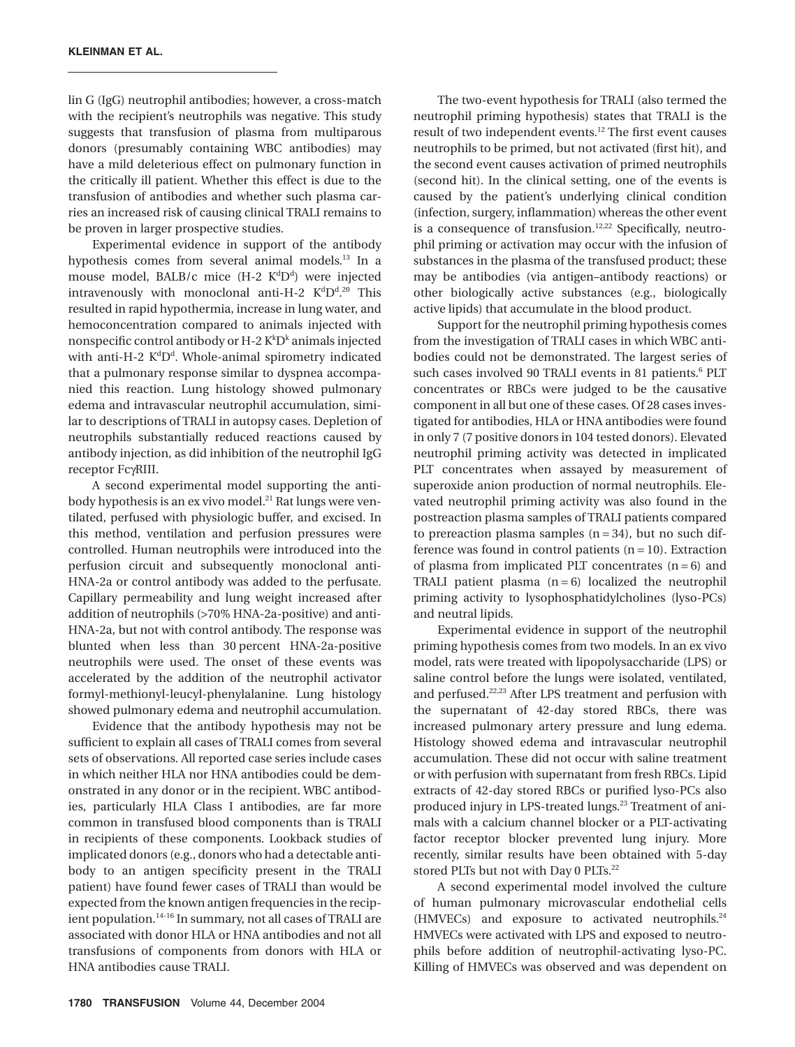lin G (IgG) neutrophil antibodies; however, a cross-match with the recipient's neutrophils was negative. This study suggests that transfusion of plasma from multiparous donors (presumably containing WBC antibodies) may have a mild deleterious effect on pulmonary function in the critically ill patient. Whether this effect is due to the transfusion of antibodies and whether such plasma carries an increased risk of causing clinical TRALI remains to be proven in larger prospective studies.

Experimental evidence in support of the antibody hypothesis comes from several animal models.<sup>13</sup> In a mouse model, BALB/c mice  $(H-2 K^d D^d)$  were injected intravenously with monoclonal anti-H-2  $K^{d}D^{d,20}$  This resulted in rapid hypothermia, increase in lung water, and hemoconcentration compared to animals injected with nonspecific control antibody or H-2  $\rm K^kD^k$  animals injected with anti-H-2 K<sup>d</sup>D<sup>d</sup>. Whole-animal spirometry indicated that a pulmonary response similar to dyspnea accompanied this reaction. Lung histology showed pulmonary edema and intravascular neutrophil accumulation, similar to descriptions of TRALI in autopsy cases. Depletion of neutrophils substantially reduced reactions caused by antibody injection, as did inhibition of the neutrophil IgG receptor FcγRIII.

A second experimental model supporting the antibody hypothesis is an ex vivo model.<sup>21</sup> Rat lungs were ventilated, perfused with physiologic buffer, and excised. In this method, ventilation and perfusion pressures were controlled. Human neutrophils were introduced into the perfusion circuit and subsequently monoclonal anti-HNA-2a or control antibody was added to the perfusate. Capillary permeability and lung weight increased after addition of neutrophils (>70% HNA-2a-positive) and anti-HNA-2a, but not with control antibody. The response was blunted when less than 30 percent HNA-2a-positive neutrophils were used. The onset of these events was accelerated by the addition of the neutrophil activator formyl-methionyl-leucyl-phenylalanine. Lung histology showed pulmonary edema and neutrophil accumulation.

Evidence that the antibody hypothesis may not be sufficient to explain all cases of TRALI comes from several sets of observations. All reported case series include cases in which neither HLA nor HNA antibodies could be demonstrated in any donor or in the recipient. WBC antibodies, particularly HLA Class I antibodies, are far more common in transfused blood components than is TRALI in recipients of these components. Lookback studies of implicated donors (e.g., donors who had a detectable antibody to an antigen specificity present in the TRALI patient) have found fewer cases of TRALI than would be expected from the known antigen frequencies in the recipient population.<sup>14-16</sup> In summary, not all cases of TRALI are associated with donor HLA or HNA antibodies and not all transfusions of components from donors with HLA or HNA antibodies cause TRALI.

The two-event hypothesis for TRALI (also termed the neutrophil priming hypothesis) states that TRALI is the result of two independent events.<sup>12</sup> The first event causes neutrophils to be primed, but not activated (first hit), and the second event causes activation of primed neutrophils (second hit). In the clinical setting, one of the events is caused by the patient's underlying clinical condition (infection, surgery, inflammation) whereas the other event is a consequence of transfusion.<sup>12,22</sup> Specifically, neutrophil priming or activation may occur with the infusion of substances in the plasma of the transfused product; these may be antibodies (via antigen–antibody reactions) or other biologically active substances (e.g., biologically active lipids) that accumulate in the blood product.

Support for the neutrophil priming hypothesis comes from the investigation of TRALI cases in which WBC antibodies could not be demonstrated. The largest series of such cases involved 90 TRALI events in 81 patients.<sup>6</sup> PLT concentrates or RBCs were judged to be the causative component in all but one of these cases. Of 28 cases investigated for antibodies, HLA or HNA antibodies were found in only 7 (7 positive donors in 104 tested donors). Elevated neutrophil priming activity was detected in implicated PLT concentrates when assayed by measurement of superoxide anion production of normal neutrophils. Elevated neutrophil priming activity was also found in the postreaction plasma samples of TRALI patients compared to prereaction plasma samples  $(n = 34)$ , but no such difference was found in control patients  $(n = 10)$ . Extraction of plasma from implicated PLT concentrates  $(n = 6)$  and TRALI patient plasma  $(n = 6)$  localized the neutrophil priming activity to lysophosphatidylcholines (lyso-PCs) and neutral lipids.

Experimental evidence in support of the neutrophil priming hypothesis comes from two models. In an ex vivo model, rats were treated with lipopolysaccharide (LPS) or saline control before the lungs were isolated, ventilated, and perfused.<sup>22,23</sup> After LPS treatment and perfusion with the supernatant of 42-day stored RBCs, there was increased pulmonary artery pressure and lung edema. Histology showed edema and intravascular neutrophil accumulation. These did not occur with saline treatment or with perfusion with supernatant from fresh RBCs. Lipid extracts of 42-day stored RBCs or purified lyso-PCs also produced injury in LPS-treated lungs.<sup>23</sup> Treatment of animals with a calcium channel blocker or a PLT-activating factor receptor blocker prevented lung injury. More recently, similar results have been obtained with 5-day stored PLTs but not with Day 0 PLTs.<sup>22</sup>

A second experimental model involved the culture of human pulmonary microvascular endothelial cells (HMVECs) and exposure to activated neutrophils.<sup>24</sup> HMVECs were activated with LPS and exposed to neutrophils before addition of neutrophil-activating lyso-PC. Killing of HMVECs was observed and was dependent on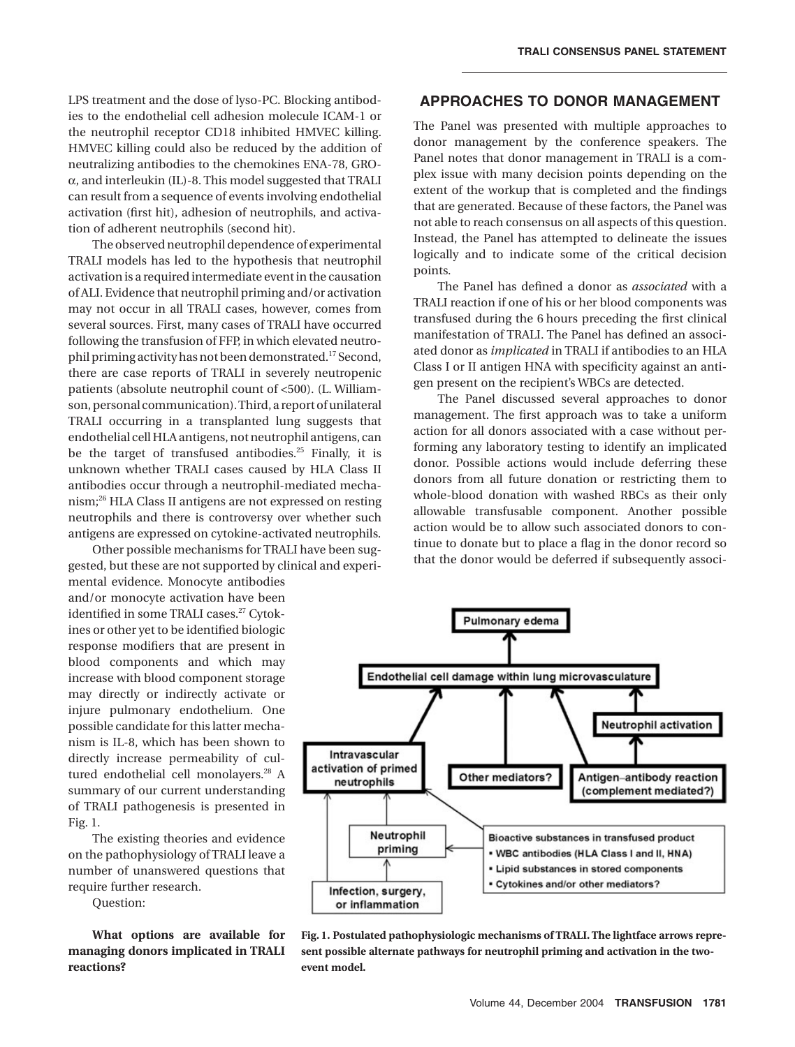LPS treatment and the dose of lyso-PC. Blocking antibodies to the endothelial cell adhesion molecule ICAM-1 or the neutrophil receptor CD18 inhibited HMVEC killing. HMVEC killing could also be reduced by the addition of neutralizing antibodies to the chemokines ENA-78, GRO- $\alpha$ , and interleukin (IL)-8. This model suggested that TRALI can result from a sequence of events involving endothelial activation (first hit), adhesion of neutrophils, and activation of adherent neutrophils (second hit).

The observed neutrophil dependence of experimental TRALI models has led to the hypothesis that neutrophil activation is a required intermediate event in the causation of ALI. Evidence that neutrophil priming and/or activation may not occur in all TRALI cases, however, comes from several sources. First, many cases of TRALI have occurred following the transfusion of FFP, in which elevated neutrophil priming activity has not been demonstrated.17 Second, there are case reports of TRALI in severely neutropenic patients (absolute neutrophil count of <500). (L. Williamson, personal communication). Third, a report of unilateral TRALI occurring in a transplanted lung suggests that endothelial cell HLA antigens, not neutrophil antigens, can be the target of transfused antibodies.<sup>25</sup> Finally, it is unknown whether TRALI cases caused by HLA Class II antibodies occur through a neutrophil-mediated mechanism;26 HLA Class II antigens are not expressed on resting neutrophils and there is controversy over whether such antigens are expressed on cytokine-activated neutrophils.

Other possible mechanisms for TRALI have been suggested, but these are not supported by clinical and experi-

mental evidence. Monocyte antibodies and/or monocyte activation have been identified in some TRALI cases.<sup>27</sup> Cytokines or other yet to be identified biologic response modifiers that are present in blood components and which may increase with blood component storage may directly or indirectly activate or injure pulmonary endothelium. One possible candidate for this latter mechanism is IL-8, which has been shown to directly increase permeability of cultured endothelial cell monolayers.<sup>28</sup> A summary of our current understanding of TRALI pathogenesis is presented in Fig. 1.

The existing theories and evidence on the pathophysiology of TRALI leave a number of unanswered questions that require further research.

Question:

**What options are available for managing donors implicated in TRALI reactions?**

# **APPROACHES TO DONOR MANAGEMENT**

The Panel was presented with multiple approaches to donor management by the conference speakers. The Panel notes that donor management in TRALI is a complex issue with many decision points depending on the extent of the workup that is completed and the findings that are generated. Because of these factors, the Panel was not able to reach consensus on all aspects of this question. Instead, the Panel has attempted to delineate the issues logically and to indicate some of the critical decision points.

The Panel has defined a donor as *associated* with a TRALI reaction if one of his or her blood components was transfused during the 6 hours preceding the first clinical manifestation of TRALI. The Panel has defined an associated donor as *implicated* in TRALI if antibodies to an HLA Class I or II antigen HNA with specificity against an antigen present on the recipient's WBCs are detected.

The Panel discussed several approaches to donor management. The first approach was to take a uniform action for all donors associated with a case without performing any laboratory testing to identify an implicated donor. Possible actions would include deferring these donors from all future donation or restricting them to whole-blood donation with washed RBCs as their only allowable transfusable component. Another possible action would be to allow such associated donors to continue to donate but to place a flag in the donor record so that the donor would be deferred if subsequently associ-



**Fig. 1. Postulated pathophysiologic mechanisms of TRALI. The lightface arrows represent possible alternate pathways for neutrophil priming and activation in the twoevent model.**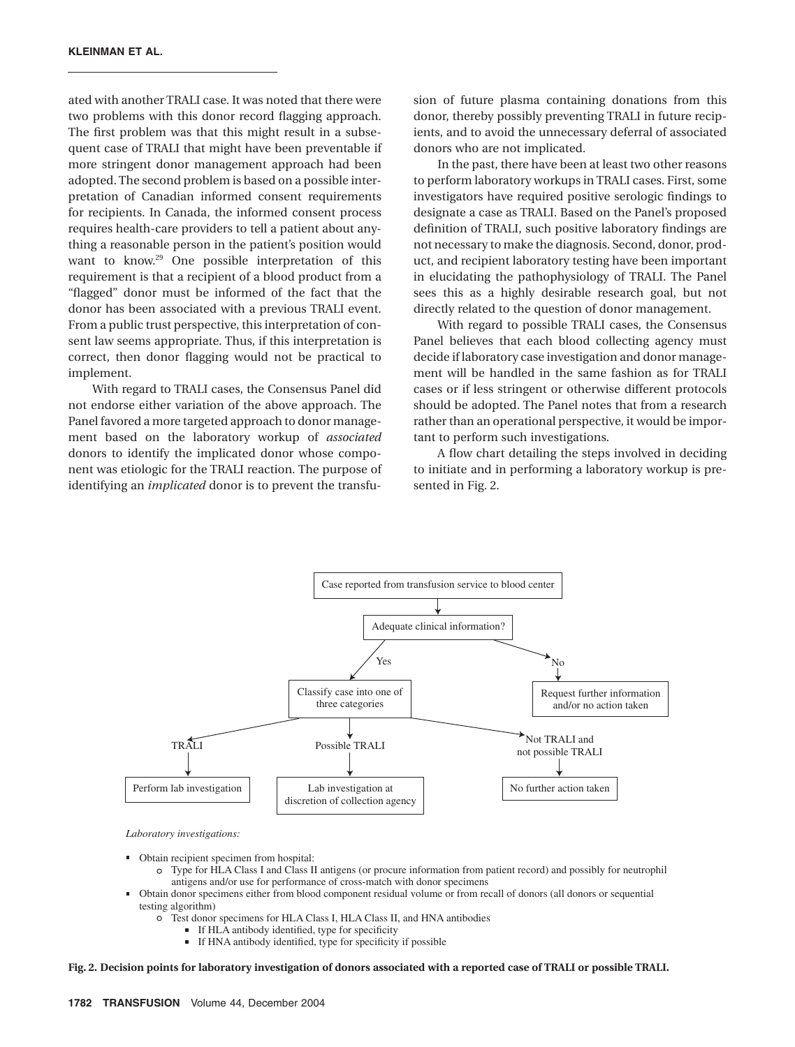ated with another TRALI case. It was noted that there were two problems with this donor record flagging approach. The first problem was that this might result in a subsequent case of TRALI that might have been preventable if more stringent donor management approach had been adopted. The second problem is based on a possible interpretation of Canadian informed consent requirements for recipients. In Canada, the informed consent process requires health-care providers to tell a patient about anything a reasonable person in the patient's position would want to know.<sup>29</sup> One possible interpretation of this requirement is that a recipient of a blood product from a "flagged" donor must be informed of the fact that the donor has been associated with a previous TRALI event. From a public trust perspective, this interpretation of consent law seems appropriate. Thus, if this interpretation is correct, then donor flagging would not be practical to implement.

With regard to TRALI cases, the Consensus Panel did not endorse either variation of the above approach. The Panel favored a more targeted approach to donor management based on the laboratory workup of *associated* donors to identify the implicated donor whose component was etiologic for the TRALI reaction. The purpose of identifying an *implicated* donor is to prevent the transfusion of future plasma containing donations from this donor, thereby possibly preventing TRALI in future recipients, and to avoid the unnecessary deferral of associated donors who are not implicated.

In the past, there have been at least two other reasons to perform laboratory workups in TRALI cases. First, some investigators have required positive serologic findings to designate a case as TRALI. Based on the Panel's proposed definition of TRALI, such positive laboratory findings are not necessary to make the diagnosis. Second, donor, product, and recipient laboratory testing have been important in elucidating the pathophysiology of TRALI. The Panel sees this as a highly desirable research goal, but not directly related to the question of donor management.

With regard to possible TRALI cases, the Consensus Panel believes that each blood collecting agency must decide if laboratory case investigation and donor management will be handled in the same fashion as for TRALI cases or if less stringent or otherwise different protocols should be adopted. The Panel notes that from a research rather than an operational perspective, it would be important to perform such investigations.

A flow chart detailing the steps involved in deciding to initiate and in performing a laboratory workup is presented in Fig. 2.



*Laboratory investigations:*

Obtain recipient specimen from hospital:

- Type for HLA Class I and Class II antigens (or procure information from patient record) and possibly for neutrophil antigens and/or use for performance of cross-match with donor specimens
- Obtain donor specimens either from blood component residual volume or from recall of donors (all donors or sequential testing algorithm)
	- Test donor specimens for HLA Class I, HLA Class II, and HNA antibodies
		- If HLA antibody identified, type for specificity
		- If HNA antibody identified, type for specificity if possible

**Fig. 2. Decision points for laboratory investigation of donors associated with a reported case of TRALI or possible TRALI.**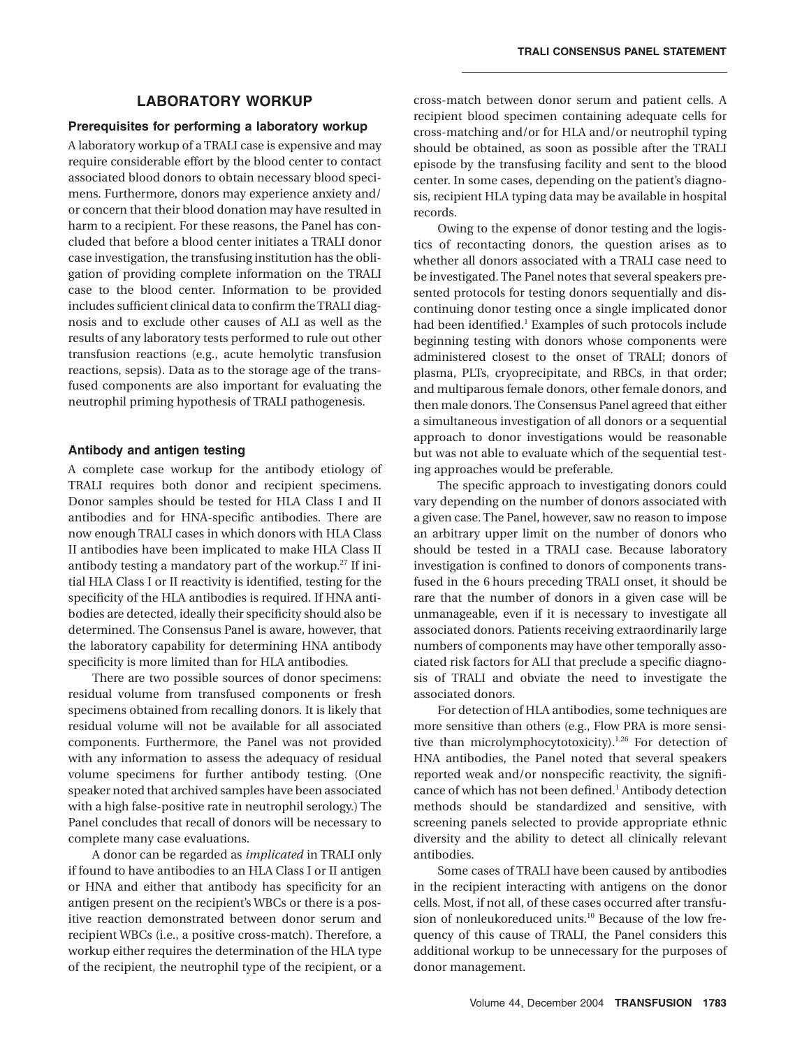## **LABORATORY WORKUP**

## **Prerequisites for performing a laboratory workup**

A laboratory workup of a TRALI case is expensive and may require considerable effort by the blood center to contact associated blood donors to obtain necessary blood specimens. Furthermore, donors may experience anxiety and/ or concern that their blood donation may have resulted in harm to a recipient. For these reasons, the Panel has concluded that before a blood center initiates a TRALI donor case investigation, the transfusing institution has the obligation of providing complete information on the TRALI case to the blood center. Information to be provided includes sufficient clinical data to confirm the TRALI diagnosis and to exclude other causes of ALI as well as the results of any laboratory tests performed to rule out other transfusion reactions (e.g., acute hemolytic transfusion reactions, sepsis). Data as to the storage age of the transfused components are also important for evaluating the neutrophil priming hypothesis of TRALI pathogenesis.

## **Antibody and antigen testing**

A complete case workup for the antibody etiology of TRALI requires both donor and recipient specimens. Donor samples should be tested for HLA Class I and II antibodies and for HNA-specific antibodies. There are now enough TRALI cases in which donors with HLA Class II antibodies have been implicated to make HLA Class II antibody testing a mandatory part of the workup.<sup>27</sup> If initial HLA Class I or II reactivity is identified, testing for the specificity of the HLA antibodies is required. If HNA antibodies are detected, ideally their specificity should also be determined. The Consensus Panel is aware, however, that the laboratory capability for determining HNA antibody specificity is more limited than for HLA antibodies.

There are two possible sources of donor specimens: residual volume from transfused components or fresh specimens obtained from recalling donors. It is likely that residual volume will not be available for all associated components. Furthermore, the Panel was not provided with any information to assess the adequacy of residual volume specimens for further antibody testing. (One speaker noted that archived samples have been associated with a high false-positive rate in neutrophil serology.) The Panel concludes that recall of donors will be necessary to complete many case evaluations.

A donor can be regarded as *implicated* in TRALI only if found to have antibodies to an HLA Class I or II antigen or HNA and either that antibody has specificity for an antigen present on the recipient's WBCs or there is a positive reaction demonstrated between donor serum and recipient WBCs (i.e., a positive cross-match). Therefore, a workup either requires the determination of the HLA type of the recipient, the neutrophil type of the recipient, or a

cross-match between donor serum and patient cells. A recipient blood specimen containing adequate cells for cross-matching and/or for HLA and/or neutrophil typing should be obtained, as soon as possible after the TRALI episode by the transfusing facility and sent to the blood center. In some cases, depending on the patient's diagnosis, recipient HLA typing data may be available in hospital records.

Owing to the expense of donor testing and the logistics of recontacting donors, the question arises as to whether all donors associated with a TRALI case need to be investigated. The Panel notes that several speakers presented protocols for testing donors sequentially and discontinuing donor testing once a single implicated donor had been identified.<sup>1</sup> Examples of such protocols include beginning testing with donors whose components were administered closest to the onset of TRALI; donors of plasma, PLTs, cryoprecipitate, and RBCs, in that order; and multiparous female donors, other female donors, and then male donors. The Consensus Panel agreed that either a simultaneous investigation of all donors or a sequential approach to donor investigations would be reasonable but was not able to evaluate which of the sequential testing approaches would be preferable.

The specific approach to investigating donors could vary depending on the number of donors associated with a given case. The Panel, however, saw no reason to impose an arbitrary upper limit on the number of donors who should be tested in a TRALI case. Because laboratory investigation is confined to donors of components transfused in the 6 hours preceding TRALI onset, it should be rare that the number of donors in a given case will be unmanageable, even if it is necessary to investigate all associated donors. Patients receiving extraordinarily large numbers of components may have other temporally associated risk factors for ALI that preclude a specific diagnosis of TRALI and obviate the need to investigate the associated donors.

For detection of HLA antibodies, some techniques are more sensitive than others (e.g., Flow PRA is more sensitive than microlymphocytotoxicity). $1,26$  For detection of HNA antibodies, the Panel noted that several speakers reported weak and/or nonspecific reactivity, the significance of which has not been defined.<sup>1</sup> Antibody detection methods should be standardized and sensitive, with screening panels selected to provide appropriate ethnic diversity and the ability to detect all clinically relevant antibodies.

Some cases of TRALI have been caused by antibodies in the recipient interacting with antigens on the donor cells. Most, if not all, of these cases occurred after transfusion of nonleukoreduced units. $10$  Because of the low frequency of this cause of TRALI, the Panel considers this additional workup to be unnecessary for the purposes of donor management.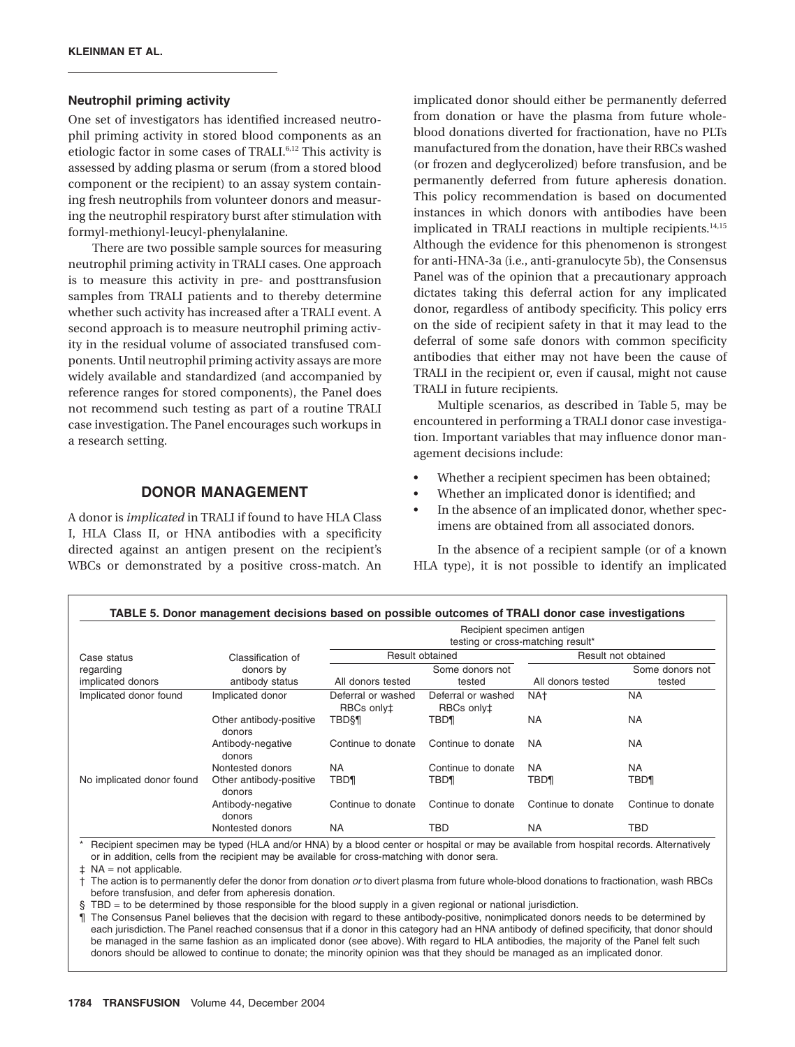## **Neutrophil priming activity**

One set of investigators has identified increased neutrophil priming activity in stored blood components as an etiologic factor in some cases of TRALI.<sup>6,12</sup> This activity is assessed by adding plasma or serum (from a stored blood component or the recipient) to an assay system containing fresh neutrophils from volunteer donors and measuring the neutrophil respiratory burst after stimulation with formyl-methionyl-leucyl-phenylalanine.

There are two possible sample sources for measuring neutrophil priming activity in TRALI cases. One approach is to measure this activity in pre- and posttransfusion samples from TRALI patients and to thereby determine whether such activity has increased after a TRALI event. A second approach is to measure neutrophil priming activity in the residual volume of associated transfused components. Until neutrophil priming activity assays are more widely available and standardized (and accompanied by reference ranges for stored components), the Panel does not recommend such testing as part of a routine TRALI case investigation. The Panel encourages such workups in a research setting.

## **DONOR MANAGEMENT**

A donor is *implicated* in TRALI if found to have HLA Class I, HLA Class II, or HNA antibodies with a specificity directed against an antigen present on the recipient's WBCs or demonstrated by a positive cross-match. An

implicated donor should either be permanently deferred from donation or have the plasma from future wholeblood donations diverted for fractionation, have no PLTs manufactured from the donation, have their RBCs washed (or frozen and deglycerolized) before transfusion, and be permanently deferred from future apheresis donation. This policy recommendation is based on documented instances in which donors with antibodies have been implicated in TRALI reactions in multiple recipients.<sup>14,15</sup> Although the evidence for this phenomenon is strongest for anti-HNA-3a (i.e., anti-granulocyte 5b), the Consensus Panel was of the opinion that a precautionary approach dictates taking this deferral action for any implicated donor, regardless of antibody specificity. This policy errs on the side of recipient safety in that it may lead to the deferral of some safe donors with common specificity antibodies that either may not have been the cause of TRALI in the recipient or, even if causal, might not cause TRALI in future recipients.

Multiple scenarios, as described in Table 5, may be encountered in performing a TRALI donor case investigation. Important variables that may influence donor management decisions include:

- Whether a recipient specimen has been obtained;
- Whether an implicated donor is identified; and
- In the absence of an implicated donor, whether specimens are obtained from all associated donors.

In the absence of a recipient sample (or of a known HLA type), it is not possible to identify an implicated

|                                | Classification of<br>donors by<br>antibody status | Recipient specimen antigen<br>testing or cross-matching result* |                                  |                     |                           |
|--------------------------------|---------------------------------------------------|-----------------------------------------------------------------|----------------------------------|---------------------|---------------------------|
|                                |                                                   |                                                                 |                                  |                     |                           |
| Case status                    |                                                   | Result obtained                                                 |                                  | Result not obtained |                           |
| regarding<br>implicated donors |                                                   | All donors tested                                               | Some donors not<br>tested        | All donors tested   | Some donors not<br>tested |
| Implicated donor found         | Implicated donor                                  | Deferral or washed<br>RBCs only#                                | Deferral or washed<br>RBCs only‡ | NA+                 | <b>NA</b>                 |
|                                | Other antibody-positive<br>donors                 | <b>TBDS1</b>                                                    | TBD¶                             | NA                  | <b>NA</b>                 |
|                                | Antibody-negative<br>donors                       | Continue to donate                                              | Continue to donate               | NA.                 | <b>NA</b>                 |
|                                | Nontested donors                                  | <b>NA</b>                                                       | Continue to donate               | NA.                 | NA.                       |
| No implicated donor found      | Other antibody-positive<br>donors                 | TBD¶                                                            | TBD¶                             | TBD¶                | TBD¶                      |
|                                | Antibody-negative<br>donors                       | Continue to donate                                              | Continue to donate               | Continue to donate  | Continue to donate        |
|                                | Nontested donors                                  | <b>NA</b>                                                       | TBD                              | <b>NA</b>           | TBD                       |

Recipient specimen may be typed (HLA and/or HNA) by a blood center or hospital or may be available from hospital records. Alternatively or in addition, cells from the recipient may be available for cross-matching with donor sera.

 $\ddagger$  NA = not applicable.

† The action is to permanently defer the donor from donation *or* to divert plasma from future whole-blood donations to fractionation, wash RBCs before transfusion, and defer from apheresis donation.

§ TBD = to be determined by those responsible for the blood supply in a given regional or national jurisdiction.

¶ The Consensus Panel believes that the decision with regard to these antibody-positive, nonimplicated donors needs to be determined by each jurisdiction. The Panel reached consensus that if a donor in this category had an HNA antibody of defined specificity, that donor should be managed in the same fashion as an implicated donor (see above). With regard to HLA antibodies, the majority of the Panel felt such donors should be allowed to continue to donate; the minority opinion was that they should be managed as an implicated donor.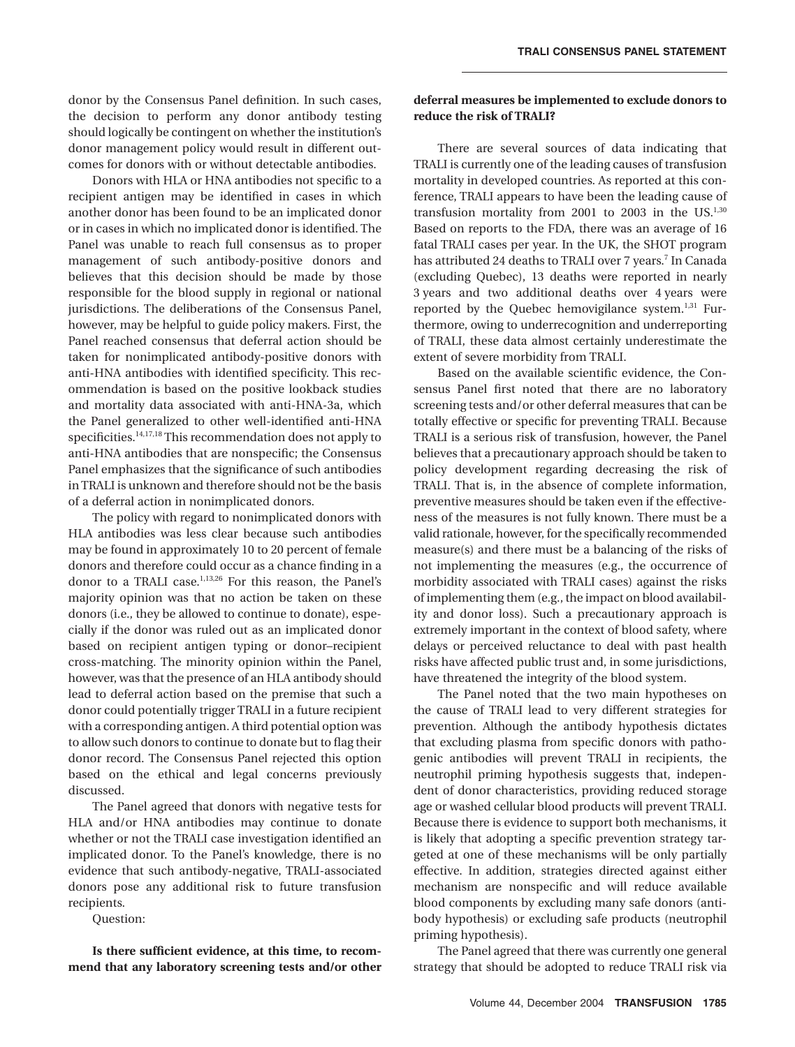donor by the Consensus Panel definition. In such cases, the decision to perform any donor antibody testing should logically be contingent on whether the institution's donor management policy would result in different outcomes for donors with or without detectable antibodies.

Donors with HLA or HNA antibodies not specific to a recipient antigen may be identified in cases in which another donor has been found to be an implicated donor or in cases in which no implicated donor is identified. The Panel was unable to reach full consensus as to proper management of such antibody-positive donors and believes that this decision should be made by those responsible for the blood supply in regional or national jurisdictions. The deliberations of the Consensus Panel, however, may be helpful to guide policy makers. First, the Panel reached consensus that deferral action should be taken for nonimplicated antibody-positive donors with anti-HNA antibodies with identified specificity. This recommendation is based on the positive lookback studies and mortality data associated with anti-HNA-3a, which the Panel generalized to other well-identified anti-HNA specificities.<sup>14,17,18</sup> This recommendation does not apply to anti-HNA antibodies that are nonspecific; the Consensus Panel emphasizes that the significance of such antibodies in TRALI is unknown and therefore should not be the basis of a deferral action in nonimplicated donors.

The policy with regard to nonimplicated donors with HLA antibodies was less clear because such antibodies may be found in approximately 10 to 20 percent of female donors and therefore could occur as a chance finding in a donor to a TRALI case.<sup>1,13,26</sup> For this reason, the Panel's majority opinion was that no action be taken on these donors (i.e., they be allowed to continue to donate), especially if the donor was ruled out as an implicated donor based on recipient antigen typing or donor–recipient cross-matching. The minority opinion within the Panel, however, was that the presence of an HLA antibody should lead to deferral action based on the premise that such a donor could potentially trigger TRALI in a future recipient with a corresponding antigen. A third potential option was to allow such donors to continue to donate but to flag their donor record. The Consensus Panel rejected this option based on the ethical and legal concerns previously discussed.

The Panel agreed that donors with negative tests for HLA and/or HNA antibodies may continue to donate whether or not the TRALI case investigation identified an implicated donor. To the Panel's knowledge, there is no evidence that such antibody-negative, TRALI-associated donors pose any additional risk to future transfusion recipients.

Question:

**Is there sufficient evidence, at this time, to recommend that any laboratory screening tests and/or other**

## **deferral measures be implemented to exclude donors to reduce the risk of TRALI?**

There are several sources of data indicating that TRALI is currently one of the leading causes of transfusion mortality in developed countries. As reported at this conference, TRALI appears to have been the leading cause of transfusion mortality from 2001 to 2003 in the US. $1,30$ Based on reports to the FDA, there was an average of 16 fatal TRALI cases per year. In the UK, the SHOT program has attributed 24 deaths to TRALI over 7 years.<sup>7</sup> In Canada (excluding Quebec), 13 deaths were reported in nearly 3 years and two additional deaths over 4 years were reported by the Quebec hemovigilance system. $1,31$  Furthermore, owing to underrecognition and underreporting of TRALI, these data almost certainly underestimate the extent of severe morbidity from TRALI.

Based on the available scientific evidence, the Consensus Panel first noted that there are no laboratory screening tests and/or other deferral measures that can be totally effective or specific for preventing TRALI. Because TRALI is a serious risk of transfusion, however, the Panel believes that a precautionary approach should be taken to policy development regarding decreasing the risk of TRALI. That is, in the absence of complete information, preventive measures should be taken even if the effectiveness of the measures is not fully known. There must be a valid rationale, however, for the specifically recommended measure(s) and there must be a balancing of the risks of not implementing the measures (e.g., the occurrence of morbidity associated with TRALI cases) against the risks of implementing them (e.g., the impact on blood availability and donor loss). Such a precautionary approach is extremely important in the context of blood safety, where delays or perceived reluctance to deal with past health risks have affected public trust and, in some jurisdictions, have threatened the integrity of the blood system.

The Panel noted that the two main hypotheses on the cause of TRALI lead to very different strategies for prevention. Although the antibody hypothesis dictates that excluding plasma from specific donors with pathogenic antibodies will prevent TRALI in recipients, the neutrophil priming hypothesis suggests that, independent of donor characteristics, providing reduced storage age or washed cellular blood products will prevent TRALI. Because there is evidence to support both mechanisms, it is likely that adopting a specific prevention strategy targeted at one of these mechanisms will be only partially effective. In addition, strategies directed against either mechanism are nonspecific and will reduce available blood components by excluding many safe donors (antibody hypothesis) or excluding safe products (neutrophil priming hypothesis).

The Panel agreed that there was currently one general strategy that should be adopted to reduce TRALI risk via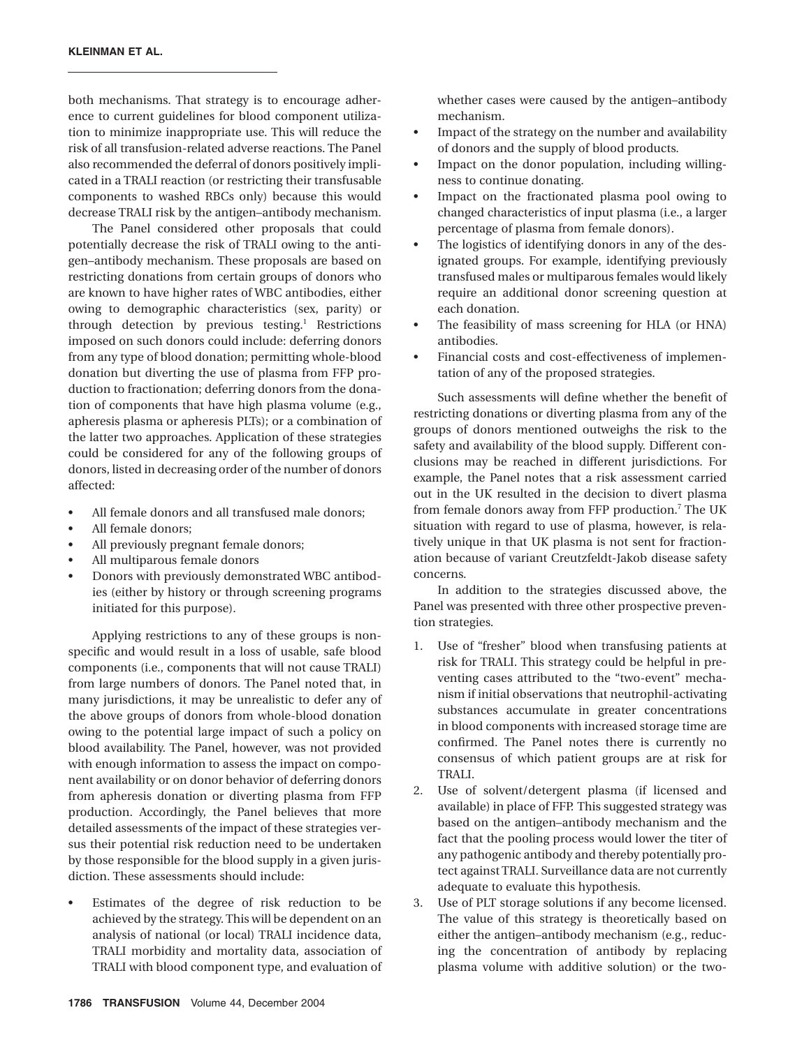both mechanisms. That strategy is to encourage adherence to current guidelines for blood component utilization to minimize inappropriate use. This will reduce the risk of all transfusion-related adverse reactions. The Panel also recommended the deferral of donors positively implicated in a TRALI reaction (or restricting their transfusable components to washed RBCs only) because this would decrease TRALI risk by the antigen–antibody mechanism.

The Panel considered other proposals that could potentially decrease the risk of TRALI owing to the antigen–antibody mechanism. These proposals are based on restricting donations from certain groups of donors who are known to have higher rates of WBC antibodies, either owing to demographic characteristics (sex, parity) or through detection by previous testing.<sup>1</sup> Restrictions imposed on such donors could include: deferring donors from any type of blood donation; permitting whole-blood donation but diverting the use of plasma from FFP production to fractionation; deferring donors from the donation of components that have high plasma volume (e.g., apheresis plasma or apheresis PLTs); or a combination of the latter two approaches. Application of these strategies could be considered for any of the following groups of donors, listed in decreasing order of the number of donors affected:

- All female donors and all transfused male donors;
- All female donors;
- All previously pregnant female donors;
- All multiparous female donors
- Donors with previously demonstrated WBC antibodies (either by history or through screening programs initiated for this purpose).

Applying restrictions to any of these groups is nonspecific and would result in a loss of usable, safe blood components (i.e., components that will not cause TRALI) from large numbers of donors. The Panel noted that, in many jurisdictions, it may be unrealistic to defer any of the above groups of donors from whole-blood donation owing to the potential large impact of such a policy on blood availability. The Panel, however, was not provided with enough information to assess the impact on component availability or on donor behavior of deferring donors from apheresis donation or diverting plasma from FFP production. Accordingly, the Panel believes that more detailed assessments of the impact of these strategies versus their potential risk reduction need to be undertaken by those responsible for the blood supply in a given jurisdiction. These assessments should include:

Estimates of the degree of risk reduction to be achieved by the strategy. This will be dependent on an analysis of national (or local) TRALI incidence data, TRALI morbidity and mortality data, association of TRALI with blood component type, and evaluation of

whether cases were caused by the antigen–antibody mechanism.

- Impact of the strategy on the number and availability of donors and the supply of blood products.
- Impact on the donor population, including willingness to continue donating.
- Impact on the fractionated plasma pool owing to changed characteristics of input plasma (i.e., a larger percentage of plasma from female donors).
- The logistics of identifying donors in any of the designated groups. For example, identifying previously transfused males or multiparous females would likely require an additional donor screening question at each donation.
- The feasibility of mass screening for HLA (or HNA) antibodies.
- Financial costs and cost-effectiveness of implementation of any of the proposed strategies.

Such assessments will define whether the benefit of restricting donations or diverting plasma from any of the groups of donors mentioned outweighs the risk to the safety and availability of the blood supply. Different conclusions may be reached in different jurisdictions. For example, the Panel notes that a risk assessment carried out in the UK resulted in the decision to divert plasma from female donors away from FFP production.<sup>7</sup> The UK situation with regard to use of plasma, however, is relatively unique in that UK plasma is not sent for fractionation because of variant Creutzfeldt-Jakob disease safety concerns.

In addition to the strategies discussed above, the Panel was presented with three other prospective prevention strategies.

- 1. Use of "fresher" blood when transfusing patients at risk for TRALI. This strategy could be helpful in preventing cases attributed to the "two-event" mechanism if initial observations that neutrophil-activating substances accumulate in greater concentrations in blood components with increased storage time are confirmed. The Panel notes there is currently no consensus of which patient groups are at risk for TRALI.
- 2. Use of solvent/detergent plasma (if licensed and available) in place of FFP. This suggested strategy was based on the antigen–antibody mechanism and the fact that the pooling process would lower the titer of any pathogenic antibody and thereby potentially protect against TRALI. Surveillance data are not currently adequate to evaluate this hypothesis.
- 3. Use of PLT storage solutions if any become licensed. The value of this strategy is theoretically based on either the antigen–antibody mechanism (e.g., reducing the concentration of antibody by replacing plasma volume with additive solution) or the two-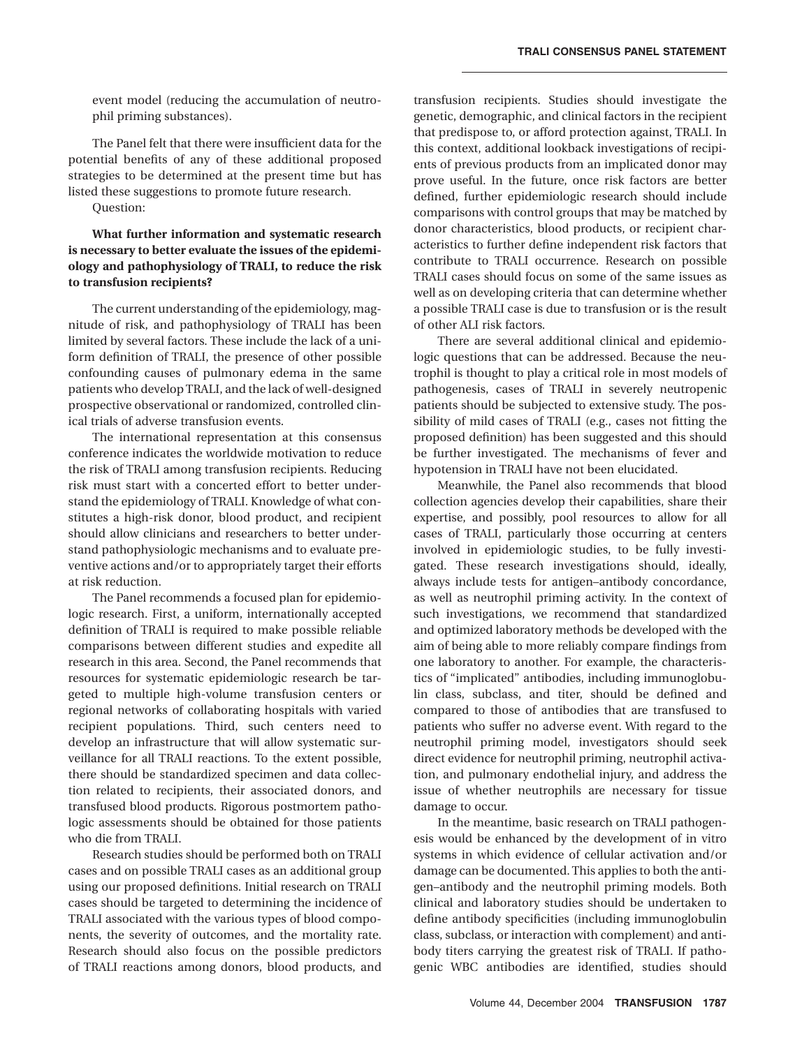event model (reducing the accumulation of neutrophil priming substances).

The Panel felt that there were insufficient data for the potential benefits of any of these additional proposed strategies to be determined at the present time but has listed these suggestions to promote future research.

Question:

# **What further information and systematic research is necessary to better evaluate the issues of the epidemiology and pathophysiology of TRALI, to reduce the risk to transfusion recipients?**

The current understanding of the epidemiology, magnitude of risk, and pathophysiology of TRALI has been limited by several factors. These include the lack of a uniform definition of TRALI, the presence of other possible confounding causes of pulmonary edema in the same patients who develop TRALI, and the lack of well-designed prospective observational or randomized, controlled clinical trials of adverse transfusion events.

The international representation at this consensus conference indicates the worldwide motivation to reduce the risk of TRALI among transfusion recipients. Reducing risk must start with a concerted effort to better understand the epidemiology of TRALI. Knowledge of what constitutes a high-risk donor, blood product, and recipient should allow clinicians and researchers to better understand pathophysiologic mechanisms and to evaluate preventive actions and/or to appropriately target their efforts at risk reduction.

The Panel recommends a focused plan for epidemiologic research. First, a uniform, internationally accepted definition of TRALI is required to make possible reliable comparisons between different studies and expedite all research in this area. Second, the Panel recommends that resources for systematic epidemiologic research be targeted to multiple high-volume transfusion centers or regional networks of collaborating hospitals with varied recipient populations. Third, such centers need to develop an infrastructure that will allow systematic surveillance for all TRALI reactions. To the extent possible, there should be standardized specimen and data collection related to recipients, their associated donors, and transfused blood products. Rigorous postmortem pathologic assessments should be obtained for those patients who die from TRALI.

Research studies should be performed both on TRALI cases and on possible TRALI cases as an additional group using our proposed definitions. Initial research on TRALI cases should be targeted to determining the incidence of TRALI associated with the various types of blood components, the severity of outcomes, and the mortality rate. Research should also focus on the possible predictors of TRALI reactions among donors, blood products, and

transfusion recipients. Studies should investigate the genetic, demographic, and clinical factors in the recipient that predispose to, or afford protection against, TRALI. In this context, additional lookback investigations of recipients of previous products from an implicated donor may prove useful. In the future, once risk factors are better defined, further epidemiologic research should include comparisons with control groups that may be matched by donor characteristics, blood products, or recipient characteristics to further define independent risk factors that contribute to TRALI occurrence. Research on possible TRALI cases should focus on some of the same issues as well as on developing criteria that can determine whether a possible TRALI case is due to transfusion or is the result of other ALI risk factors.

There are several additional clinical and epidemiologic questions that can be addressed. Because the neutrophil is thought to play a critical role in most models of pathogenesis, cases of TRALI in severely neutropenic patients should be subjected to extensive study. The possibility of mild cases of TRALI (e.g., cases not fitting the proposed definition) has been suggested and this should be further investigated. The mechanisms of fever and hypotension in TRALI have not been elucidated.

Meanwhile, the Panel also recommends that blood collection agencies develop their capabilities, share their expertise, and possibly, pool resources to allow for all cases of TRALI, particularly those occurring at centers involved in epidemiologic studies, to be fully investigated. These research investigations should, ideally, always include tests for antigen–antibody concordance, as well as neutrophil priming activity. In the context of such investigations, we recommend that standardized and optimized laboratory methods be developed with the aim of being able to more reliably compare findings from one laboratory to another. For example, the characteristics of "implicated" antibodies, including immunoglobulin class, subclass, and titer, should be defined and compared to those of antibodies that are transfused to patients who suffer no adverse event. With regard to the neutrophil priming model, investigators should seek direct evidence for neutrophil priming, neutrophil activation, and pulmonary endothelial injury, and address the issue of whether neutrophils are necessary for tissue damage to occur.

In the meantime, basic research on TRALI pathogenesis would be enhanced by the development of in vitro systems in which evidence of cellular activation and/or damage can be documented. This applies to both the antigen–antibody and the neutrophil priming models. Both clinical and laboratory studies should be undertaken to define antibody specificities (including immunoglobulin class, subclass, or interaction with complement) and antibody titers carrying the greatest risk of TRALI. If pathogenic WBC antibodies are identified, studies should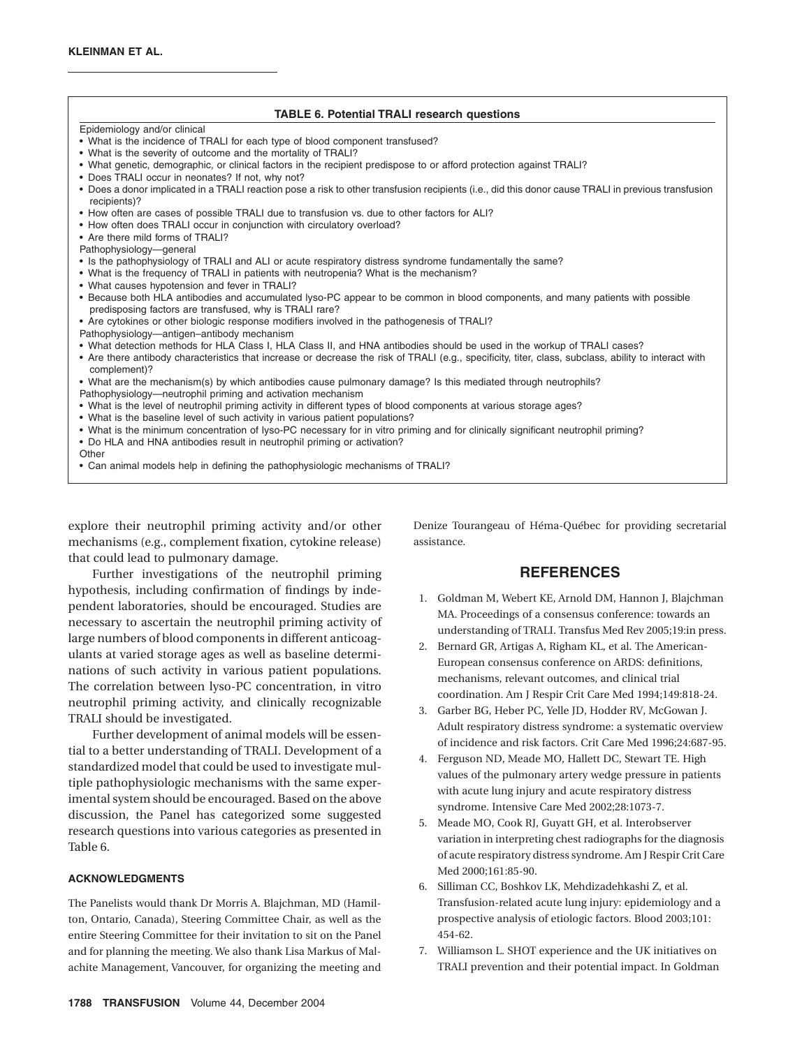### **TABLE 6. Potential TRALI research questions**

```
Epidemiology and/or clinical
```
- What is the incidence of TRALI for each type of blood component transfused?
- What is the severity of outcome and the mortality of TRALI?
- What genetic, demographic, or clinical factors in the recipient predispose to or afford protection against TRALI?
- Does TRALI occur in neonates? If not, why not?
- Does a donor implicated in a TRALI reaction pose a risk to other transfusion recipients (i.e., did this donor cause TRALI in previous transfusion recipients)?
- How often are cases of possible TRALI due to transfusion vs. due to other factors for ALI?
- How often does TRALI occur in conjunction with circulatory overload?
- Are there mild forms of TRALI?

Pathophysiology—general

- Is the pathophysiology of TRALI and ALI or acute respiratory distress syndrome fundamentally the same?
- What is the frequency of TRALI in patients with neutropenia? What is the mechanism?
- What causes hypotension and fever in TRALI?
- Because both HLA antibodies and accumulated lyso-PC appear to be common in blood components, and many patients with possible predisposing factors are transfused, why is TRALI rare?
- Are cytokines or other biologic response modifiers involved in the pathogenesis of TRALI?
- Pathophysiology—antigen–antibody mechanism
- What detection methods for HLA Class I, HLA Class II, and HNA antibodies should be used in the workup of TRALI cases?
- Are there antibody characteristics that increase or decrease the risk of TRALI (e.g., specificity, titer, class, subclass, ability to interact with complement)?
- What are the mechanism(s) by which antibodies cause pulmonary damage? Is this mediated through neutrophils?
- Pathophysiology—neutrophil priming and activation mechanism
- What is the level of neutrophil priming activity in different types of blood components at various storage ages?
- What is the baseline level of such activity in various patient populations?
- What is the minimum concentration of lyso-PC necessary for in vitro priming and for clinically significant neutrophil priming?
- Do HLA and HNA antibodies result in neutrophil priming or activation?
- **Other**
- Can animal models help in defining the pathophysiologic mechanisms of TRALI?

explore their neutrophil priming activity and/or other mechanisms (e.g., complement fixation, cytokine release) that could lead to pulmonary damage.

Further investigations of the neutrophil priming hypothesis, including confirmation of findings by independent laboratories, should be encouraged. Studies are necessary to ascertain the neutrophil priming activity of large numbers of blood components in different anticoagulants at varied storage ages as well as baseline determinations of such activity in various patient populations. The correlation between lyso-PC concentration, in vitro neutrophil priming activity, and clinically recognizable TRALI should be investigated.

Further development of animal models will be essential to a better understanding of TRALI. Development of a standardized model that could be used to investigate multiple pathophysiologic mechanisms with the same experimental system should be encouraged. Based on the above discussion, the Panel has categorized some suggested research questions into various categories as presented in Table 6.

## **ACKNOWLEDGMENTS**

The Panelists would thank Dr Morris A. Blajchman, MD (Hamilton, Ontario, Canada), Steering Committee Chair, as well as the entire Steering Committee for their invitation to sit on the Panel and for planning the meeting. We also thank Lisa Markus of Malachite Management, Vancouver, for organizing the meeting and

Denize Tourangeau of Héma-Québec for providing secretarial assistance.

# **REFERENCES**

- 1. Goldman M, Webert KE, Arnold DM, Hannon J, Blajchman MA. Proceedings of a consensus conference: towards an understanding of TRALI. Transfus Med Rev 2005;19:in press.
- 2. Bernard GR, Artigas A, Righam KL, et al. The American-European consensus conference on ARDS: definitions, mechanisms, relevant outcomes, and clinical trial coordination. Am J Respir Crit Care Med 1994;149:818-24.
- 3. Garber BG, Heber PC, Yelle JD, Hodder RV, McGowan J. Adult respiratory distress syndrome: a systematic overview of incidence and risk factors. Crit Care Med 1996;24:687-95.
- 4. Ferguson ND, Meade MO, Hallett DC, Stewart TE. High values of the pulmonary artery wedge pressure in patients with acute lung injury and acute respiratory distress syndrome. Intensive Care Med 2002;28:1073-7.
- 5. Meade MO, Cook RJ, Guyatt GH, et al. Interobserver variation in interpreting chest radiographs for the diagnosis of acute respiratory distress syndrome. Am J Respir Crit Care Med 2000;161:85-90.
- 6. Silliman CC, Boshkov LK, Mehdizadehkashi Z, et al. Transfusion-related acute lung injury: epidemiology and a prospective analysis of etiologic factors. Blood 2003;101: 454-62.
- 7. Williamson L. SHOT experience and the UK initiatives on TRALI prevention and their potential impact. In Goldman